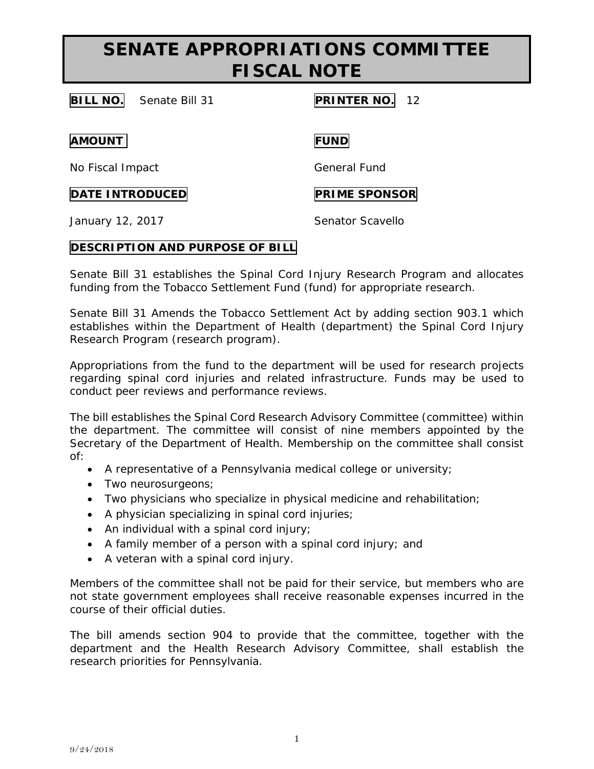# **SENATE APPROPRIATIONS COMMITTEE FISCAL NOTE**

**BILL NO.** Senate Bill 31 **PRINTER NO.** 12

**AMOUNT FUND**

No Fiscal Impact General Fund

**DATE INTRODUCED PRIME SPONSOR** 

January 12, 2017 **Senator Scavello** 

### **DESCRIPTION AND PURPOSE OF BILL**

Senate Bill 31 establishes the Spinal Cord Injury Research Program and allocates funding from the Tobacco Settlement Fund (fund) for appropriate research.

Senate Bill 31 Amends the Tobacco Settlement Act by adding section 903.1 which establishes within the Department of Health (department) the Spinal Cord Injury Research Program (research program).

Appropriations from the fund to the department will be used for research projects regarding spinal cord injuries and related infrastructure. Funds may be used to conduct peer reviews and performance reviews.

The bill establishes the Spinal Cord Research Advisory Committee (committee) within the department. The committee will consist of nine members appointed by the Secretary of the Department of Health. Membership on the committee shall consist of:

- A representative of a Pennsylvania medical college or university;
- Two neurosurgeons;
- Two physicians who specialize in physical medicine and rehabilitation;
- A physician specializing in spinal cord injuries;
- An individual with a spinal cord injury;
- A family member of a person with a spinal cord injury; and
- A veteran with a spinal cord injury.

Members of the committee shall not be paid for their service, but members who are not state government employees shall receive reasonable expenses incurred in the course of their official duties.

The bill amends section 904 to provide that the committee, together with the department and the Health Research Advisory Committee, shall establish the research priorities for Pennsylvania.